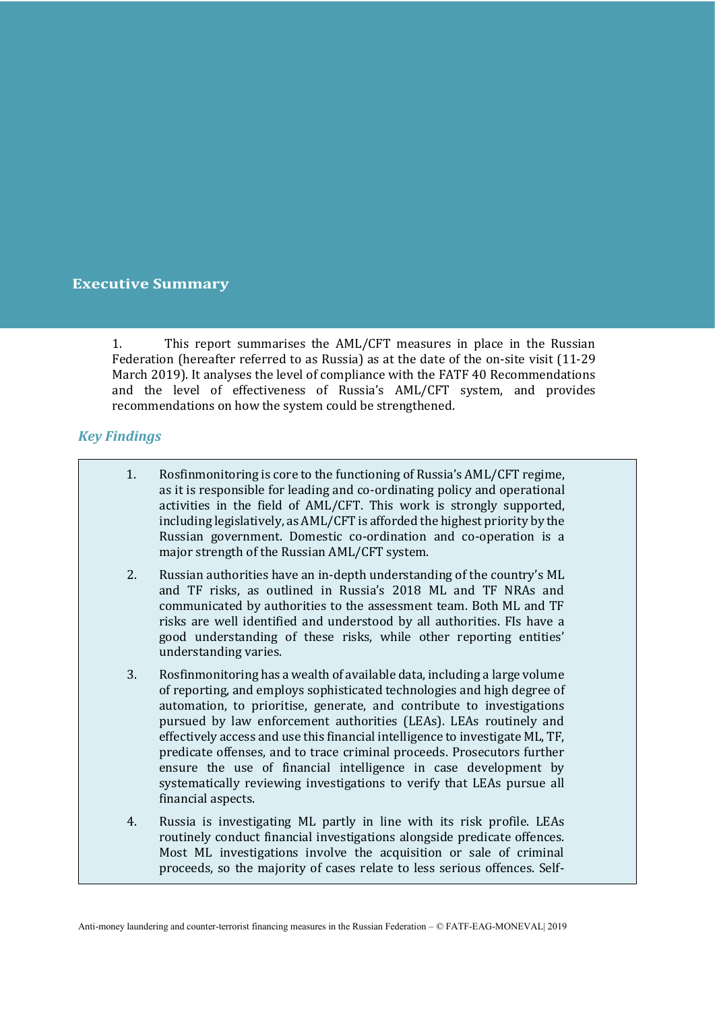#### **Executive Summary**

1. This report summarises the AML/CFT measures in place in the Russian Federation (hereafter referred to as Russia) as at the date of the on-site visit (11-29 March 2019). It analyses the level of compliance with the FATF 40 Recommendations and the level of effectiveness of Russia's AML/CFT system, and provides recommendations on how the system could be strengthened.

#### *Key Findings*

- 1. Rosfinmonitoring is core to the functioning of Russia's AML/CFT regime, as it is responsible for leading and co-ordinating policy and operational activities in the field of AML/CFT. This work is strongly supported, including legislatively, as AML/CFT is afforded the highest priority by the Russian government. Domestic co-ordination and co-operation is a major strength of the Russian AML/CFT system.
- 2. Russian authorities have an in-depth understanding of the country's ML and TF risks, as outlined in Russia's 2018 ML and TF NRAs and communicated by authorities to the assessment team. Both ML and TF risks are well identified and understood by all authorities. FIs have a good understanding of these risks, while other reporting entities' understanding varies.
- 3. Rosfinmonitoring has a wealth of available data, including a large volume of reporting, and employs sophisticated technologies and high degree of automation, to prioritise, generate, and contribute to investigations pursued by law enforcement authorities (LEAs). LEAs routinely and effectively access and use this financial intelligence to investigate ML, TF, predicate offenses, and to trace criminal proceeds. Prosecutors further ensure the use of financial intelligence in case development by systematically reviewing investigations to verify that LEAs pursue all financial aspects.
- 4. Russia is investigating ML partly in line with its risk profile. LEAs routinely conduct financial investigations alongside predicate offences. Most ML investigations involve the acquisition or sale of criminal proceeds, so the majority of cases relate to less serious offences. Self-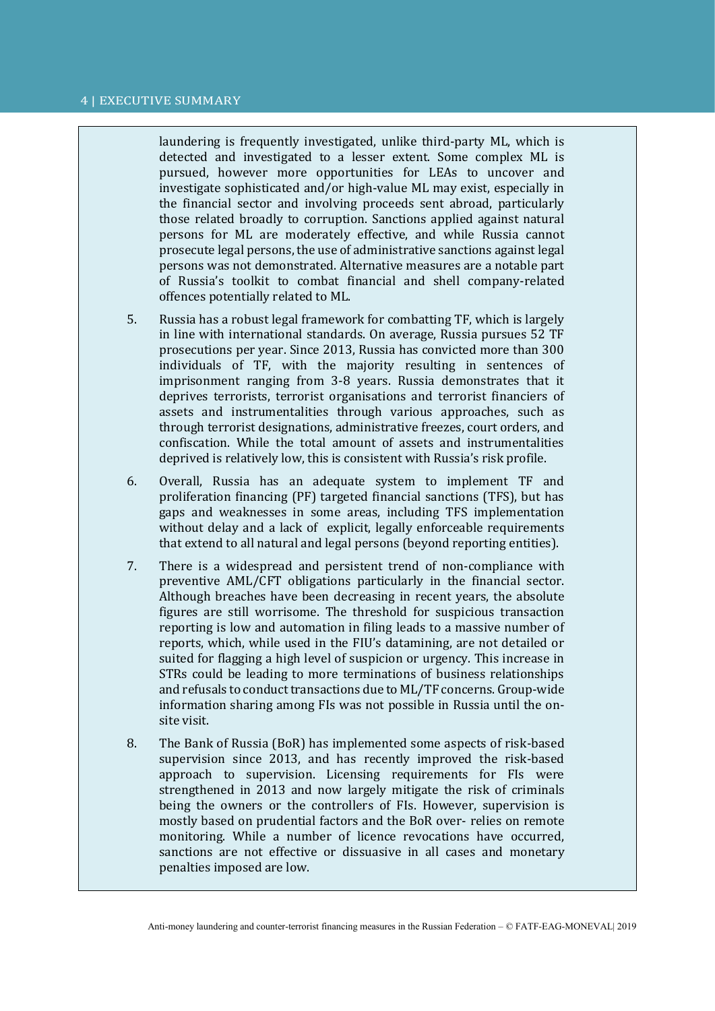#### 4 | EXECUTIVE SUMMARY

laundering is frequently investigated, unlike third-party ML, which is detected and investigated to a lesser extent. Some complex ML is pursued, however more opportunities for LEAs to uncover and investigate sophisticated and/or high-value ML may exist, especially in the financial sector and involving proceeds sent abroad, particularly those related broadly to corruption. Sanctions applied against natural persons for ML are moderately effective, and while Russia cannot prosecute legal persons, the use of administrative sanctions against legal persons was not demonstrated. Alternative measures are a notable part of Russia's toolkit to combat financial and shell company-related offences potentially related to ML.

- 5. Russia has a robust legal framework for combatting TF, which is largely in line with international standards. On average, Russia pursues 52 TF prosecutions per year. Since 2013, Russia has convicted more than 300 individuals of TF, with the majority resulting in sentences of imprisonment ranging from 3-8 years. Russia demonstrates that it deprives terrorists, terrorist organisations and terrorist financiers of assets and instrumentalities through various approaches, such as through terrorist designations, administrative freezes, court orders, and confiscation. While the total amount of assets and instrumentalities deprived is relatively low, this is consistent with Russia's risk profile.
- 6. Overall, Russia has an adequate system to implement TF and proliferation financing (PF) targeted financial sanctions (TFS), but has gaps and weaknesses in some areas, including TFS implementation without delay and a lack of explicit, legally enforceable requirements that extend to all natural and legal persons (beyond reporting entities).
- 7. There is a widespread and persistent trend of non-compliance with preventive AML/CFT obligations particularly in the financial sector. Although breaches have been decreasing in recent years, the absolute figures are still worrisome. The threshold for suspicious transaction reporting is low and automation in filing leads to a massive number of reports, which, while used in the FIU's datamining, are not detailed or suited for flagging a high level of suspicion or urgency. This increase in STRs could be leading to more terminations of business relationships and refusals to conduct transactions due to ML/TF concerns. Group-wide information sharing among FIs was not possible in Russia until the onsite visit.
- 8. The Bank of Russia (BoR) has implemented some aspects of risk-based supervision since 2013, and has recently improved the risk-based approach to supervision. Licensing requirements for FIs were strengthened in 2013 and now largely mitigate the risk of criminals being the owners or the controllers of FIs. However, supervision is mostly based on prudential factors and the BoR over- relies on remote monitoring. While a number of licence revocations have occurred, sanctions are not effective or dissuasive in all cases and monetary penalties imposed are low.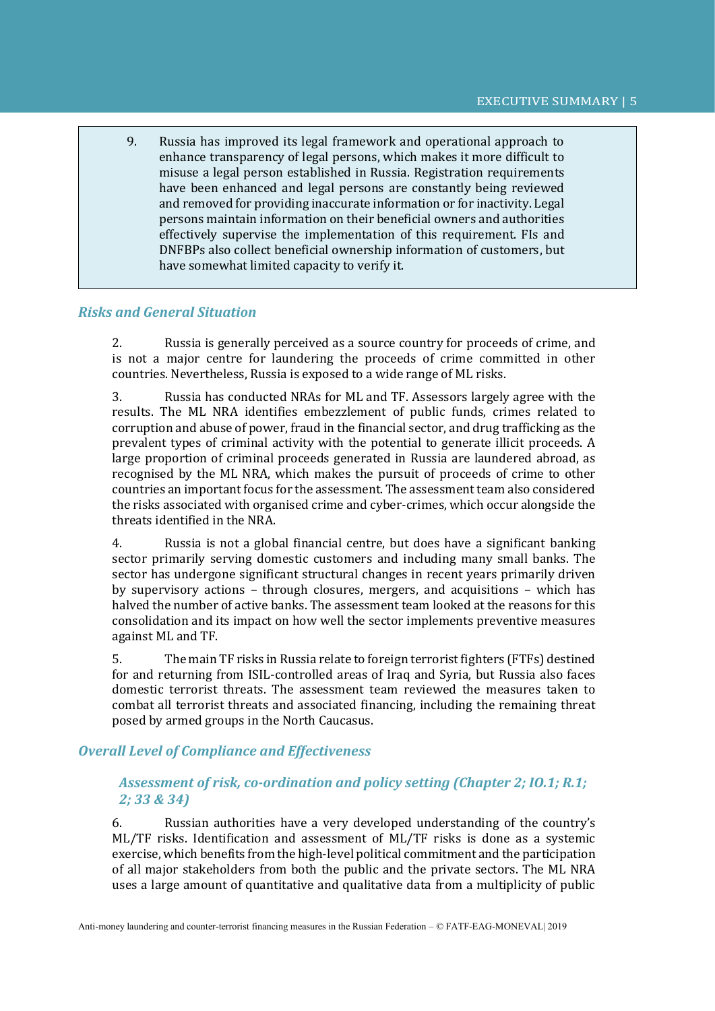9. Russia has improved its legal framework and operational approach to enhance transparency of legal persons, which makes it more difficult to misuse a legal person established in Russia. Registration requirements have been enhanced and legal persons are constantly being reviewed and removed for providing inaccurate information or for inactivity. Legal persons maintain information on their beneficial owners and authorities effectively supervise the implementation of this requirement. FIs and DNFBPs also collect beneficial ownership information of customers, but have somewhat limited capacity to verify it.

#### *Risks and General Situation*

2. Russia is generally perceived as a source country for proceeds of crime, and is not a major centre for laundering the proceeds of crime committed in other countries. Nevertheless, Russia is exposed to a wide range of ML risks.

3. Russia has conducted NRAs for ML and TF. Assessors largely agree with the results. The ML NRA identifies embezzlement of public funds, crimes related to corruption and abuse of power, fraud in the financial sector, and drug trafficking as the prevalent types of criminal activity with the potential to generate illicit proceeds. A large proportion of criminal proceeds generated in Russia are laundered abroad, as recognised by the ML NRA, which makes the pursuit of proceeds of crime to other countries an important focus for the assessment. The assessment team also considered the risks associated with organised crime and cyber-crimes, which occur alongside the threats identified in the NRA.

4. Russia is not a global financial centre, but does have a significant banking sector primarily serving domestic customers and including many small banks. The sector has undergone significant structural changes in recent years primarily driven by supervisory actions – through closures, mergers, and acquisitions – which has halved the number of active banks. The assessment team looked at the reasons for this consolidation and its impact on how well the sector implements preventive measures against ML and TF.

5. The main TF risks in Russia relate to foreign terrorist fighters (FTFs) destined for and returning from ISIL-controlled areas of Iraq and Syria, but Russia also faces domestic terrorist threats. The assessment team reviewed the measures taken to combat all terrorist threats and associated financing, including the remaining threat posed by armed groups in the North Caucasus.

#### *Overall Level of Compliance and Effectiveness*

## *Assessment of risk, co-ordination and policy setting (Chapter 2; IO.1; R.1; 2; 33 & 34)*

6. Russian authorities have a very developed understanding of the country's ML/TF risks. Identification and assessment of ML/TF risks is done as a systemic exercise, which benefits from the high-level political commitment and the participation of all major stakeholders from both the public and the private sectors. The ML NRA uses a large amount of quantitative and qualitative data from a multiplicity of public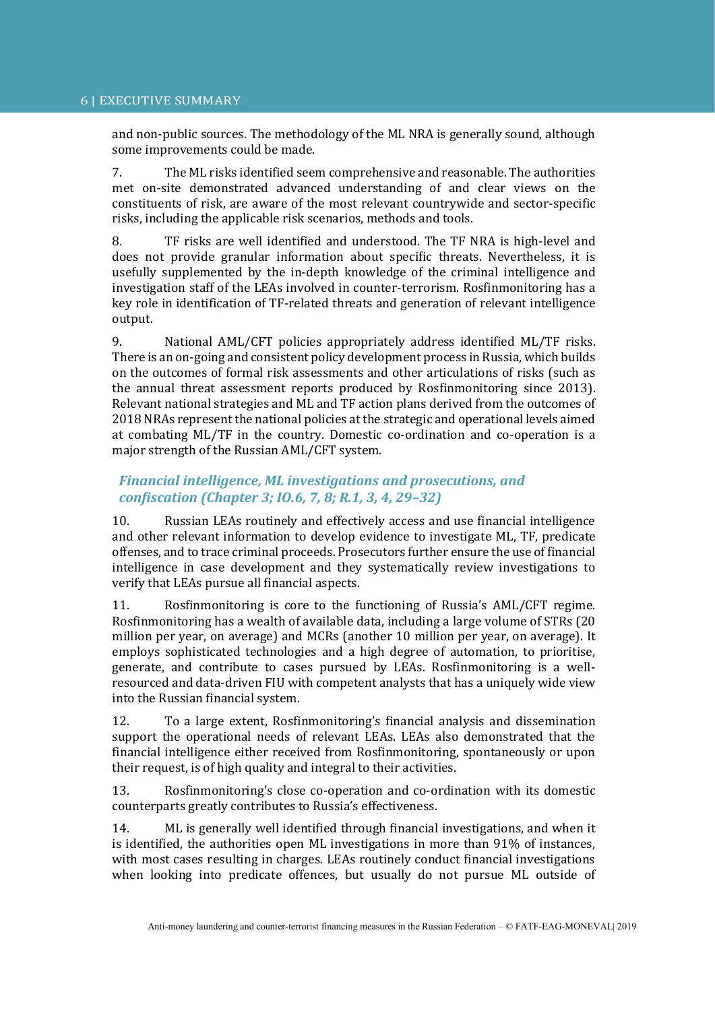and non-public sources. The methodology of the ML NRA is generally sound, although some improvements could be made.

7. The ML risks identified seem comprehensive and reasonable. The authorities met on-site demonstrated advanced understanding of and clear views on the constituents of risk, are aware of the most relevant countrywide and sector-specific risks, including the applicable risk scenarios, methods and tools.

8. TF risks are well identified and understood. The TF NRA is high-level and does not provide granular information about specific threats. Nevertheless, it is usefully supplemented by the in-depth knowledge of the criminal intelligence and investigation staff of the LEAs involved in counter-terrorism. Rosfinmonitoring has a key role in identification of TF-related threats and generation of relevant intelligence output.

9. National AML/CFT policies appropriately address identified ML/TF risks. There is an on-going and consistent policy development process in Russia, which builds on the outcomes of formal risk assessments and other articulations of risks (such as the annual threat assessment reports produced by Rosfinmonitoring since 2013). Relevant national strategies and ML and TF action plans derived from the outcomes of 2018 NRAs represent the national policies at the strategic and operational levels aimed at combating ML/TF in the country. Domestic co-ordination and co-operation is a major strength of the Russian AML/CFT system.

# *Financial intelligence, ML investigations and prosecutions, and confiscation (Chapter 3; IO.6, 7, 8; R.1, 3, 4, 29–32)*

10. Russian LEAs routinely and effectively access and use financial intelligence and other relevant information to develop evidence to investigate ML, TF, predicate offenses, and to trace criminal proceeds. Prosecutors further ensure the use of financial intelligence in case development and they systematically review investigations to verify that LEAs pursue all financial aspects.

11. Rosfinmonitoring is core to the functioning of Russia's AML/CFT regime. Rosfinmonitoring has a wealth of available data, including a large volume of STRs (20 million per year, on average) and MCRs (another 10 million per year, on average). It employs sophisticated technologies and a high degree of automation, to prioritise, generate, and contribute to cases pursued by LEAs. Rosfinmonitoring is a wellresourced and data-driven FIU with competent analysts that has a uniquely wide view into the Russian financial system.

12. To a large extent, Rosfinmonitoring's financial analysis and dissemination support the operational needs of relevant LEAs. LEAs also demonstrated that the financial intelligence either received from Rosfinmonitoring, spontaneously or upon their request, is of high quality and integral to their activities.

13. Rosfinmonitoring's close co-operation and co-ordination with its domestic counterparts greatly contributes to Russia's effectiveness.

14. ML is generally well identified through financial investigations, and when it is identified, the authorities open ML investigations in more than 91% of instances, with most cases resulting in charges. LEAs routinely conduct financial investigations when looking into predicate offences, but usually do not pursue ML outside of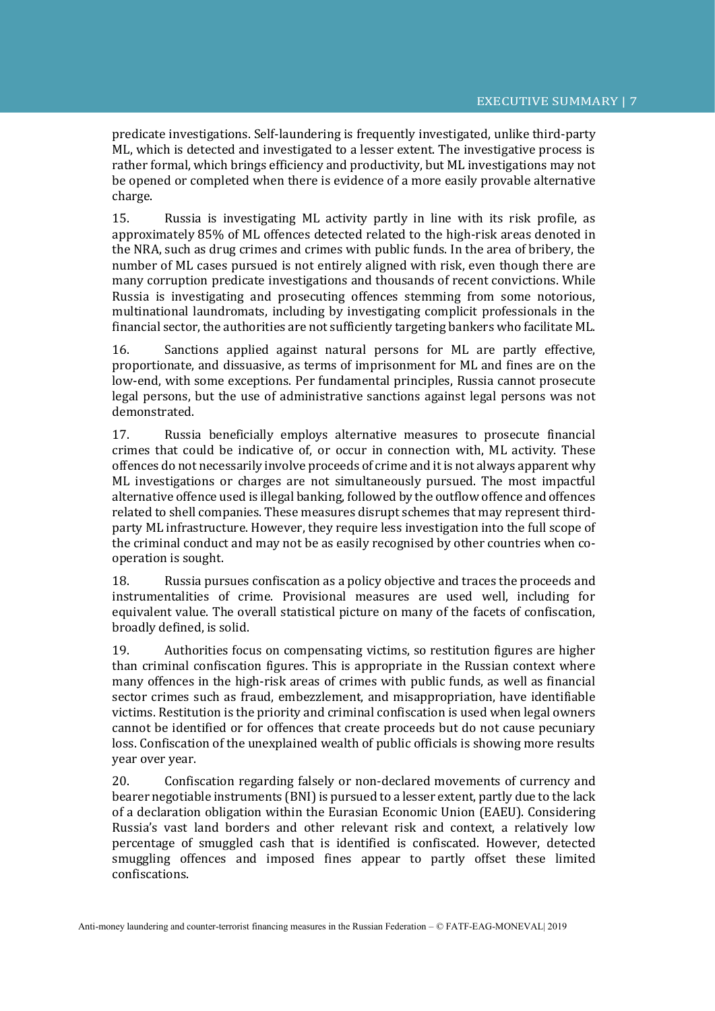predicate investigations. Self-laundering is frequently investigated, unlike third-party ML, which is detected and investigated to a lesser extent. The investigative process is rather formal, which brings efficiency and productivity, but ML investigations may not be opened or completed when there is evidence of a more easily provable alternative charge.

15. Russia is investigating ML activity partly in line with its risk profile, as approximately 85% of ML offences detected related to the high-risk areas denoted in the NRA, such as drug crimes and crimes with public funds. In the area of bribery, the number of ML cases pursued is not entirely aligned with risk, even though there are many corruption predicate investigations and thousands of recent convictions. While Russia is investigating and prosecuting offences stemming from some notorious, multinational laundromats, including by investigating complicit professionals in the financial sector, the authorities are not sufficiently targeting bankers who facilitate ML.

16. Sanctions applied against natural persons for ML are partly effective, proportionate, and dissuasive, as terms of imprisonment for ML and fines are on the low-end, with some exceptions. Per fundamental principles, Russia cannot prosecute legal persons, but the use of administrative sanctions against legal persons was not demonstrated.

17. Russia beneficially employs alternative measures to prosecute financial crimes that could be indicative of, or occur in connection with, ML activity. These offences do not necessarily involve proceeds of crime and it is not always apparent why ML investigations or charges are not simultaneously pursued. The most impactful alternative offence used is illegal banking, followed by the outflow offence and offences related to shell companies. These measures disrupt schemes that may represent thirdparty ML infrastructure. However, they require less investigation into the full scope of the criminal conduct and may not be as easily recognised by other countries when cooperation is sought.

18. Russia pursues confiscation as a policy objective and traces the proceeds and instrumentalities of crime. Provisional measures are used well, including for equivalent value. The overall statistical picture on many of the facets of confiscation, broadly defined, is solid.

19. Authorities focus on compensating victims, so restitution figures are higher than criminal confiscation figures. This is appropriate in the Russian context where many offences in the high-risk areas of crimes with public funds, as well as financial sector crimes such as fraud, embezzlement, and misappropriation, have identifiable victims. Restitution is the priority and criminal confiscation is used when legal owners cannot be identified or for offences that create proceeds but do not cause pecuniary loss. Confiscation of the unexplained wealth of public officials is showing more results year over year.

20. Confiscation regarding falsely or non-declared movements of currency and bearer negotiable instruments (BNI) is pursued to a lesser extent, partly due to the lack of a declaration obligation within the Eurasian Economic Union (EAEU). Considering Russia's vast land borders and other relevant risk and context, a relatively low percentage of smuggled cash that is identified is confiscated. However, detected smuggling offences and imposed fines appear to partly offset these limited confiscations.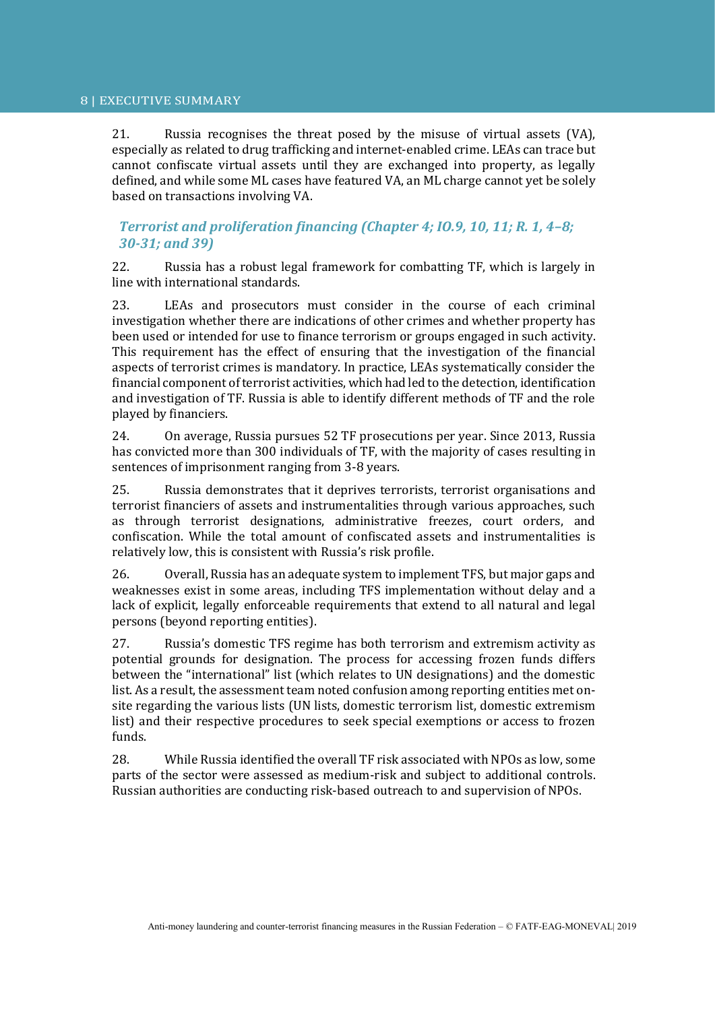21. Russia recognises the threat posed by the misuse of virtual assets (VA), especially as related to drug trafficking and internet-enabled crime. LEAs can trace but cannot confiscate virtual assets until they are exchanged into property, as legally defined, and while some ML cases have featured VA, an ML charge cannot yet be solely based on transactions involving VA.

*Terrorist and proliferation financing (Chapter 4; IO.9, 10, 11; R. 1, 4–8; 30-31; and 39)*

22. Russia has a robust legal framework for combatting TF, which is largely in line with international standards.

23. LEAs and prosecutors must consider in the course of each criminal investigation whether there are indications of other crimes and whether property has been used or intended for use to finance terrorism or groups engaged in such activity. This requirement has the effect of ensuring that the investigation of the financial aspects of terrorist crimes is mandatory. In practice, LEAs systematically consider the financial component of terrorist activities, which had led to the detection, identification and investigation of TF. Russia is able to identify different methods of TF and the role played by financiers.

24. On average, Russia pursues 52 TF prosecutions per year. Since 2013, Russia has convicted more than 300 individuals of TF, with the majority of cases resulting in sentences of imprisonment ranging from 3-8 years.

25. Russia demonstrates that it deprives terrorists, terrorist organisations and terrorist financiers of assets and instrumentalities through various approaches, such as through terrorist designations, administrative freezes, court orders, and confiscation. While the total amount of confiscated assets and instrumentalities is relatively low, this is consistent with Russia's risk profile.

26. Overall, Russia has an adequate system to implement TFS, but major gaps and weaknesses exist in some areas, including TFS implementation without delay and a lack of explicit, legally enforceable requirements that extend to all natural and legal persons (beyond reporting entities).

27. Russia's domestic TFS regime has both terrorism and extremism activity as potential grounds for designation. The process for accessing frozen funds differs between the "international" list (which relates to UN designations) and the domestic list. As a result, the assessment team noted confusion among reporting entities met onsite regarding the various lists (UN lists, domestic terrorism list, domestic extremism list) and their respective procedures to seek special exemptions or access to frozen funds.

28. While Russia identified the overall TF risk associated with NPOs as low, some parts of the sector were assessed as medium-risk and subject to additional controls. Russian authorities are conducting risk-based outreach to and supervision of NPOs.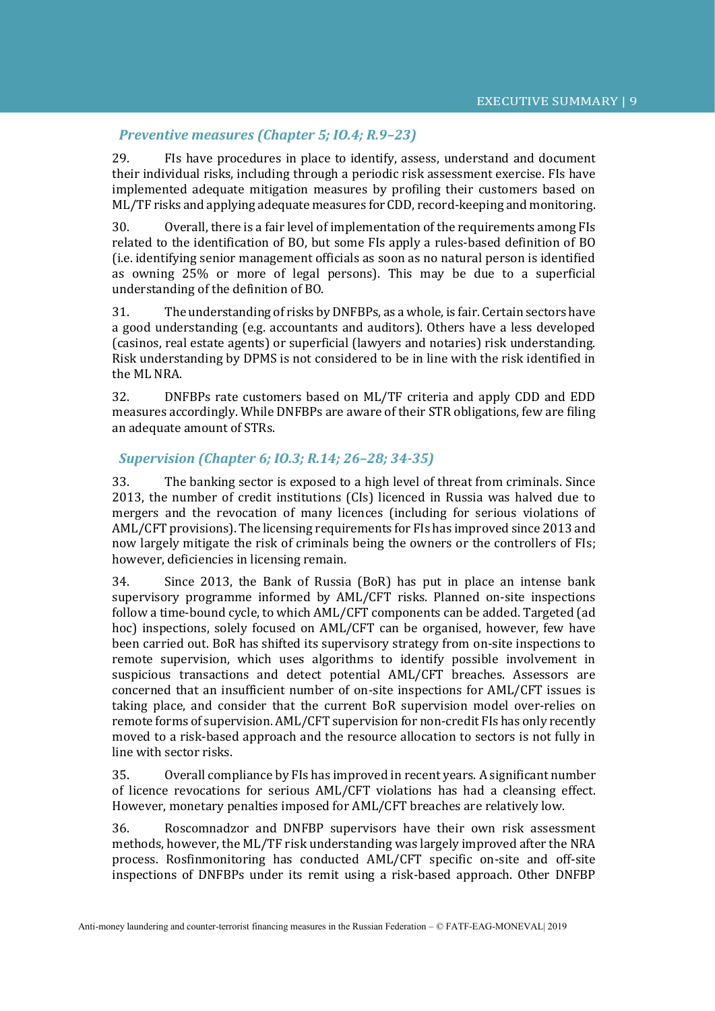#### *Preventive measures (Chapter 5; IO.4; R.9–23)*

29. FIs have procedures in place to identify, assess, understand and document their individual risks, including through a periodic risk assessment exercise. FIs have implemented adequate mitigation measures by profiling their customers based on ML/TF risks and applying adequate measures for CDD, record-keeping and monitoring.

30. Overall, there is a fair level of implementation of the requirements among FIs related to the identification of BO, but some FIs apply a rules-based definition of BO (i.e. identifying senior management officials as soon as no natural person is identified as owning 25% or more of legal persons). This may be due to a superficial understanding of the definition of BO.

31. The understanding of risks by DNFBPs, as a whole, is fair. Certain sectors have a good understanding (e.g. accountants and auditors). Others have a less developed (casinos, real estate agents) or superficial (lawyers and notaries) risk understanding. Risk understanding by DPMS is not considered to be in line with the risk identified in the ML NRA.

32. DNFBPs rate customers based on ML/TF criteria and apply CDD and EDD measures accordingly. While DNFBPs are aware of their STR obligations, few are filing an adequate amount of STRs.

#### *Supervision (Chapter 6; IO.3; R.14; 26–28; 34-35)*

33. The banking sector is exposed to a high level of threat from criminals. Since 2013, the number of credit institutions (CIs) licenced in Russia was halved due to mergers and the revocation of many licences (including for serious violations of AML/CFT provisions). The licensing requirements for FIs has improved since 2013 and now largely mitigate the risk of criminals being the owners or the controllers of FIs; however, deficiencies in licensing remain.

34. Since 2013, the Bank of Russia (BoR) has put in place an intense bank supervisory programme informed by AML/CFT risks. Planned on-site inspections follow a time-bound cycle, to which AML/CFT components can be added. Targeted (ad hoc) inspections, solely focused on AML/CFT can be organised, however, few have been carried out. BoR has shifted its supervisory strategy from on-site inspections to remote supervision, which uses algorithms to identify possible involvement in suspicious transactions and detect potential AML/CFT breaches. Assessors are concerned that an insufficient number of on-site inspections for AML/CFT issues is taking place, and consider that the current BoR supervision model over-relies on remote forms of supervision. AML/CFT supervision for non-credit FIs has only recently moved to a risk-based approach and the resource allocation to sectors is not fully in line with sector risks.

35. Overall compliance by FIs has improved in recent years. A significant number of licence revocations for serious AML/CFT violations has had a cleansing effect. However, monetary penalties imposed for AML/CFT breaches are relatively low.

36. Roscomnadzor and DNFBP supervisors have their own risk assessment methods, however, the ML/TF risk understanding was largely improved after the NRA process. Rosfinmonitoring has conducted AML/CFT specific on-site and off-site inspections of DNFBPs under its remit using a risk-based approach. Other DNFBP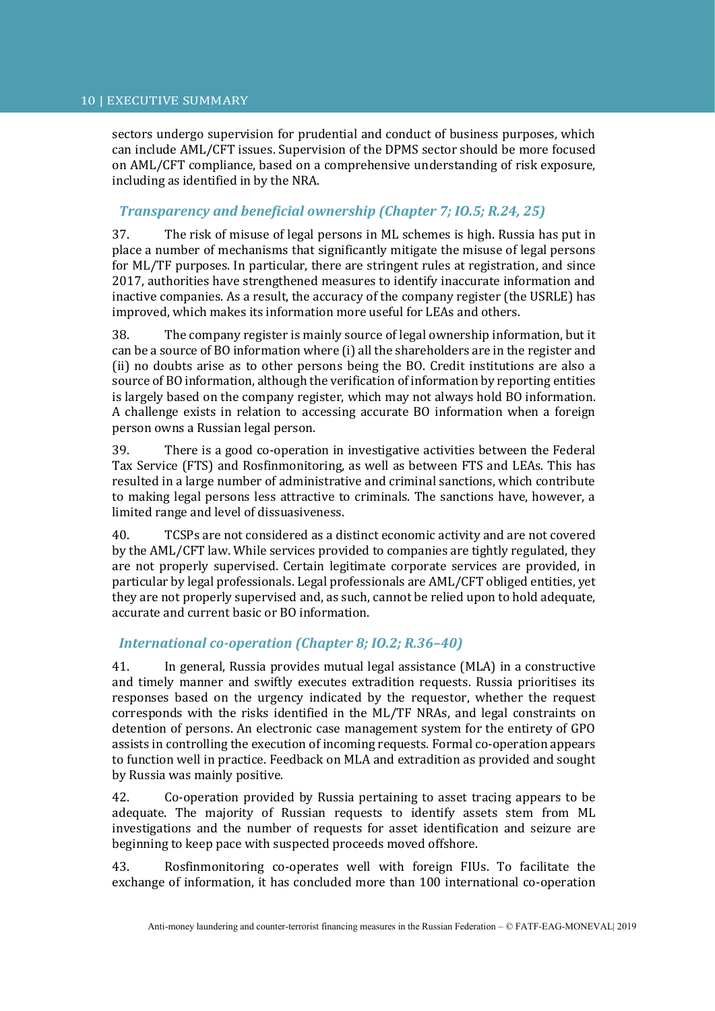sectors undergo supervision for prudential and conduct of business purposes, which can include AML/CFT issues. Supervision of the DPMS sector should be more focused on AML/CFT compliance, based on a comprehensive understanding of risk exposure, including as identified in by the NRA.

# *Transparency and beneficial ownership (Chapter 7; IO.5; R.24, 25)*

37. The risk of misuse of legal persons in ML schemes is high. Russia has put in place a number of mechanisms that significantly mitigate the misuse of legal persons for ML/TF purposes. In particular, there are stringent rules at registration, and since 2017, authorities have strengthened measures to identify inaccurate information and inactive companies. As a result, the accuracy of the company register (the USRLE) has improved, which makes its information more useful for LEAs and others.

38. The company register is mainly source of legal ownership information, but it can be a source of BO information where (i) all the shareholders are in the register and (ii) no doubts arise as to other persons being the BO. Credit institutions are also a source of BO information, although the verification of information by reporting entities is largely based on the company register, which may not always hold BO information. A challenge exists in relation to accessing accurate BO information when a foreign person owns a Russian legal person.

39. There is a good co-operation in investigative activities between the Federal Tax Service (FTS) and Rosfinmonitoring, as well as between FTS and LEAs. This has resulted in a large number of administrative and criminal sanctions, which contribute to making legal persons less attractive to criminals. The sanctions have, however, a limited range and level of dissuasiveness.

40. TCSPs are not considered as a distinct economic activity and are not covered by the AML/CFT law. While services provided to companies are tightly regulated, they are not properly supervised. Certain legitimate corporate services are provided, in particular by legal professionals. Legal professionals are AML/CFT obliged entities, yet they are not properly supervised and, as such, cannot be relied upon to hold adequate, accurate and current basic or BO information.

## *International co-operation (Chapter 8; IO.2; R.36–40)*

41. In general, Russia provides mutual legal assistance (MLA) in a constructive and timely manner and swiftly executes extradition requests. Russia prioritises its responses based on the urgency indicated by the requestor, whether the request corresponds with the risks identified in the ML/TF NRAs, and legal constraints on detention of persons. An electronic case management system for the entirety of GPO assists in controlling the execution of incoming requests. Formal co-operation appears to function well in practice. Feedback on MLA and extradition as provided and sought by Russia was mainly positive.

42. Co-operation provided by Russia pertaining to asset tracing appears to be adequate. The majority of Russian requests to identify assets stem from ML investigations and the number of requests for asset identification and seizure are beginning to keep pace with suspected proceeds moved offshore.

43. Rosfinmonitoring co-operates well with foreign FIUs. To facilitate the exchange of information, it has concluded more than 100 international co-operation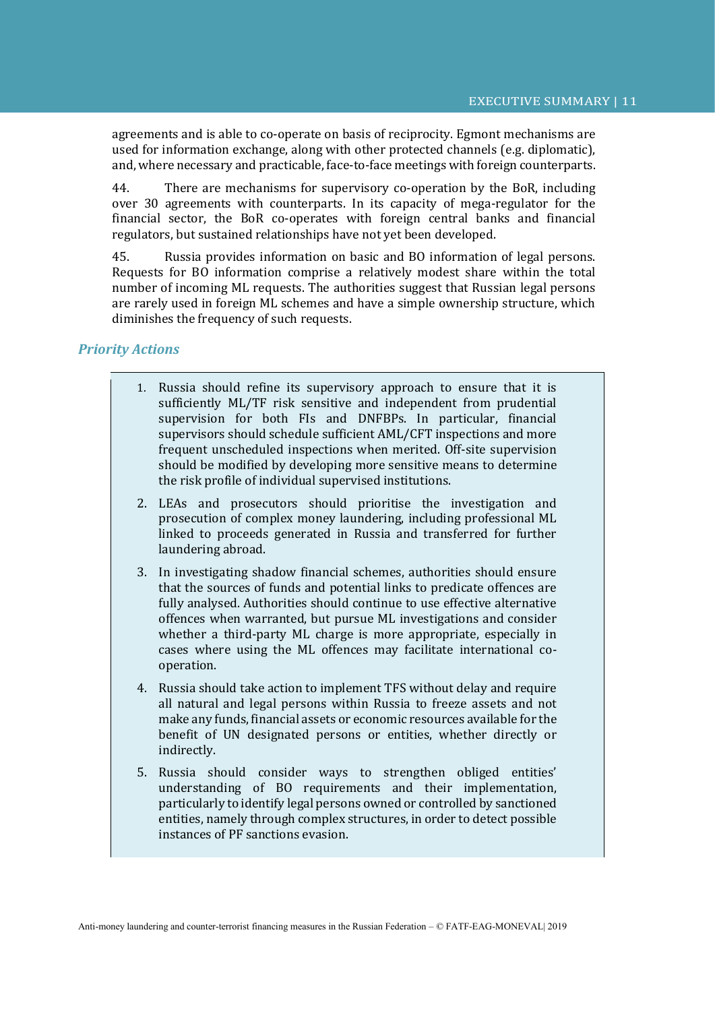agreements and is able to co-operate on basis of reciprocity. Egmont mechanisms are used for information exchange, along with other protected channels (e.g. diplomatic), and, where necessary and practicable, face-to-face meetings with foreign counterparts.

44. There are mechanisms for supervisory co-operation by the BoR, including over 30 agreements with counterparts. In its capacity of mega-regulator for the financial sector, the BoR co-operates with foreign central banks and financial regulators, but sustained relationships have not yet been developed.

45. Russia provides information on basic and BO information of legal persons. Requests for BO information comprise a relatively modest share within the total number of incoming ML requests. The authorities suggest that Russian legal persons are rarely used in foreign ML schemes and have a simple ownership structure, which diminishes the frequency of such requests.

## *Priority Actions*

- 1. Russia should refine its supervisory approach to ensure that it is sufficiently ML/TF risk sensitive and independent from prudential supervision for both FIs and DNFBPs. In particular, financial supervisors should schedule sufficient AML/CFT inspections and more frequent unscheduled inspections when merited. Off-site supervision should be modified by developing more sensitive means to determine the risk profile of individual supervised institutions.
- 2. LEAs and prosecutors should prioritise the investigation and prosecution of complex money laundering, including professional ML linked to proceeds generated in Russia and transferred for further laundering abroad.
- 3. In investigating shadow financial schemes, authorities should ensure that the sources of funds and potential links to predicate offences are fully analysed. Authorities should continue to use effective alternative offences when warranted, but pursue ML investigations and consider whether a third-party ML charge is more appropriate, especially in cases where using the ML offences may facilitate international cooperation.
- 4. Russia should take action to implement TFS without delay and require all natural and legal persons within Russia to freeze assets and not make any funds, financial assets or economic resources available for the benefit of UN designated persons or entities, whether directly or indirectly.
- 5. Russia should consider ways to strengthen obliged entities' understanding of BO requirements and their implementation, particularly to identify legal persons owned or controlled by sanctioned entities, namely through complex structures, in order to detect possible instances of PF sanctions evasion.